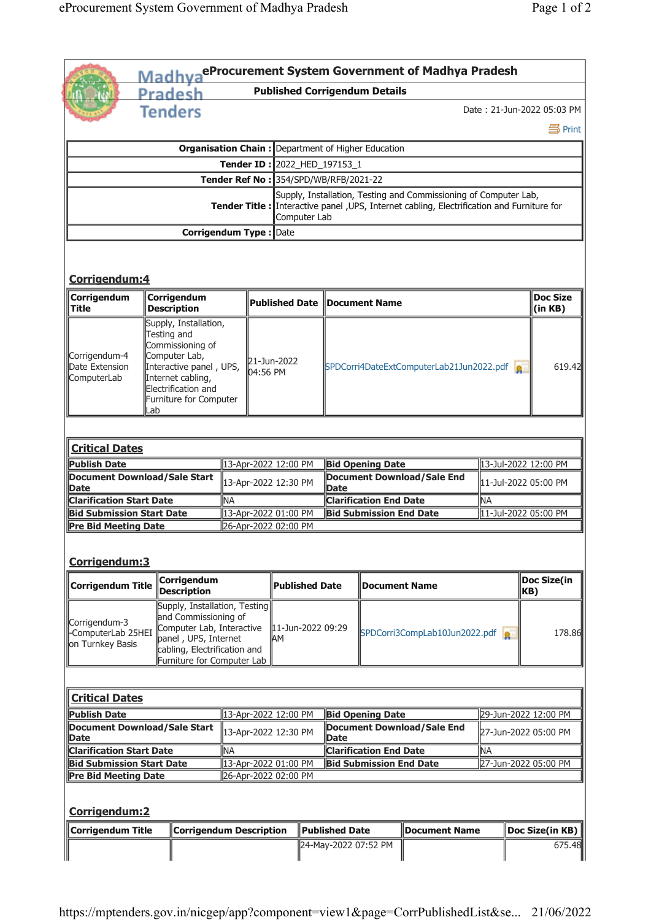|                                                                                     |                                       | <b>Pradesh</b>                                                                                                                                                             | Madhya <sup>eProcurement System Government of Madhya Pradesh</sup><br><b>Published Corrigendum Details</b> |                      |                                                                                |                                                        |                                   |                                                                                                                                                                 |                            |                    |
|-------------------------------------------------------------------------------------|---------------------------------------|----------------------------------------------------------------------------------------------------------------------------------------------------------------------------|------------------------------------------------------------------------------------------------------------|----------------------|--------------------------------------------------------------------------------|--------------------------------------------------------|-----------------------------------|-----------------------------------------------------------------------------------------------------------------------------------------------------------------|----------------------------|--------------------|
|                                                                                     |                                       | <b>Tenders</b>                                                                                                                                                             |                                                                                                            |                      |                                                                                |                                                        |                                   |                                                                                                                                                                 | Date: 21-Jun-2022 05:03 PM |                    |
|                                                                                     |                                       |                                                                                                                                                                            |                                                                                                            |                      |                                                                                |                                                        |                                   |                                                                                                                                                                 |                            | <b>马Print</b>      |
|                                                                                     |                                       |                                                                                                                                                                            |                                                                                                            |                      | <b>Organisation Chain: Department of Higher Education</b>                      |                                                        |                                   |                                                                                                                                                                 |                            |                    |
|                                                                                     |                                       |                                                                                                                                                                            |                                                                                                            |                      | Tender ID: 2022_HED_197153_1                                                   |                                                        |                                   |                                                                                                                                                                 |                            |                    |
|                                                                                     |                                       |                                                                                                                                                                            |                                                                                                            |                      | Tender Ref No: 354/SPD/WB/RFB/2021-22                                          |                                                        |                                   |                                                                                                                                                                 |                            |                    |
|                                                                                     |                                       |                                                                                                                                                                            |                                                                                                            |                      | Computer Lab                                                                   |                                                        |                                   | Supply, Installation, Testing and Commissioning of Computer Lab,<br>Tender Title : Interactive panel , UPS, Internet cabling, Electrification and Furniture for |                            |                    |
|                                                                                     |                                       | <b>Corrigendum Type: Date</b>                                                                                                                                              |                                                                                                            |                      |                                                                                |                                                        |                                   |                                                                                                                                                                 |                            |                    |
| Corrigendum:4                                                                       |                                       |                                                                                                                                                                            |                                                                                                            |                      |                                                                                |                                                        |                                   |                                                                                                                                                                 |                            |                    |
| Corrigendum<br>Title                                                                |                                       | Corrigendum<br><b>Description</b>                                                                                                                                          | <b>Published Date</b>                                                                                      |                      |                                                                                | Document Name                                          |                                   |                                                                                                                                                                 | <b>Doc Size</b><br>(in KB) |                    |
| Corrigendum-4<br>Date Extension<br>ComputerLab                                      | Lab                                   | Supply, Installation,<br>Testing and<br>Commissioning of<br>Computer Lab,<br>Interactive panel, UPS,<br>Internet cabling,<br>Electrification and<br>Furniture for Computer |                                                                                                            | 04:56 PM             | 21-Jun-2022                                                                    | SPDCorri4DateExtComputerLab21Jun2022.pdf               |                                   | 619.42                                                                                                                                                          |                            |                    |
| <b>Critical Dates</b><br><b>Publish Date</b><br><b>Document Download/Sale Start</b> |                                       |                                                                                                                                                                            |                                                                                                            |                      | 13-Apr-2022 12:00 PM                                                           |                                                        | <b>Bid Opening Date</b>           |                                                                                                                                                                 | 13-Jul-2022 12:00 PM       |                    |
| Date                                                                                |                                       |                                                                                                                                                                            |                                                                                                            |                      | <b>Document Download/Sale End</b><br>13-Apr-2022 12:30 PM<br><b>Date</b>       |                                                        | 11-Jul-2022 05:00 PM              |                                                                                                                                                                 |                            |                    |
| <b>Clarification Start Date</b>                                                     |                                       |                                                                                                                                                                            | lма                                                                                                        |                      | <b>Clarification End Date</b>                                                  |                                                        | <b>NA</b>                         |                                                                                                                                                                 |                            |                    |
| <b>Bid Submission Start Date</b><br><b>Pre Bid Meeting Date</b>                     |                                       |                                                                                                                                                                            |                                                                                                            |                      | 13-Apr-2022 01:00 PM<br><b>Bid Submission End Date</b><br>26-Apr-2022 02:00 PM |                                                        | 11-Jul-2022 05:00 PM              |                                                                                                                                                                 |                            |                    |
| Corrigendum: 3                                                                      |                                       | Corrigendum                                                                                                                                                                |                                                                                                            |                      |                                                                                |                                                        |                                   |                                                                                                                                                                 |                            | <b>Doc Size(in</b> |
| <b>Corrigendum Title</b>                                                            |                                       | <b>Description</b>                                                                                                                                                         |                                                                                                            |                      | <b>Published Date</b>                                                          |                                                        | <b>Document Name</b>              |                                                                                                                                                                 |                            | KB)                |
| Corrigendum-3<br>ComputerLab 25HEI<br>on Turnkey Basis                              |                                       | Supply, Installation, Testing<br>and Commissioning of<br>Computer Lab, Interactive<br>panel, UPS, Internet<br>cabling, Electrification and<br>Furniture for Computer Lab   |                                                                                                            |                      | 11-Jun-2022 09:29<br>AΜ                                                        |                                                        |                                   | SPDCorri3CompLab10Jun2022.pdf                                                                                                                                   |                            | 178.86             |
| <b>Critical Dates</b>                                                               |                                       |                                                                                                                                                                            |                                                                                                            |                      |                                                                                |                                                        |                                   |                                                                                                                                                                 |                            |                    |
| <b>Publish Date</b>                                                                 |                                       |                                                                                                                                                                            |                                                                                                            |                      | 13-Apr-2022 12:00 PM                                                           | <b>Bid Opening Date</b>                                |                                   | 29-Jun-2022 12:00 PM                                                                                                                                            |                            |                    |
| <b>Document Download/Sale Start</b>                                                 |                                       |                                                                                                                                                                            |                                                                                                            | 13-Apr-2022 12:30 PM |                                                                                | <b>Date</b>                                            | <b>Document Download/Sale End</b> |                                                                                                                                                                 | 27-Jun-2022 05:00 PM       |                    |
|                                                                                     | <b>Clarification Start Date</b><br>ΝA |                                                                                                                                                                            |                                                                                                            |                      | <b>Clarification End Date</b>                                                  |                                                        |                                   | ΝA                                                                                                                                                              |                            |                    |
|                                                                                     |                                       |                                                                                                                                                                            | 13-Apr-2022 01:00 PM<br><b>Bid Submission Start Date</b>                                                   |                      |                                                                                | 27-Jun-2022 05:00 PM<br><b>Bid Submission End Date</b> |                                   |                                                                                                                                                                 |                            |                    |
|                                                                                     |                                       |                                                                                                                                                                            |                                                                                                            |                      |                                                                                |                                                        |                                   |                                                                                                                                                                 |                            |                    |
|                                                                                     |                                       |                                                                                                                                                                            |                                                                                                            |                      | 26-Apr-2022 02:00 PM                                                           |                                                        |                                   |                                                                                                                                                                 |                            |                    |
| Date<br><b>Pre Bid Meeting Date</b><br>Corrigendum:2<br><b>Corrigendum Title</b>    |                                       | <b>Corrigendum Description</b>                                                                                                                                             |                                                                                                            |                      |                                                                                | <b>Published Date</b>                                  |                                   | <b>Document Name</b>                                                                                                                                            |                            | Doc Size(in KB)    |